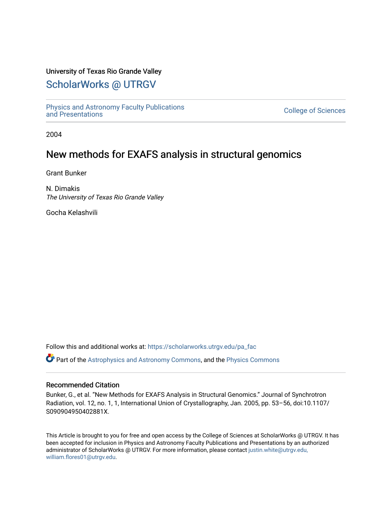## University of Texas Rio Grande Valley

# [ScholarWorks @ UTRGV](https://scholarworks.utrgv.edu/)

[Physics and Astronomy Faculty Publications](https://scholarworks.utrgv.edu/pa_fac) [and Presentations](https://scholarworks.utrgv.edu/pa_fac) [College of Sciences](https://scholarworks.utrgv.edu/cos) 

2004

## New methods for EXAFS analysis in structural genomics

Grant Bunker

N. Dimakis The University of Texas Rio Grande Valley

Gocha Kelashvili

Follow this and additional works at: [https://scholarworks.utrgv.edu/pa\\_fac](https://scholarworks.utrgv.edu/pa_fac?utm_source=scholarworks.utrgv.edu%2Fpa_fac%2F356&utm_medium=PDF&utm_campaign=PDFCoverPages) 

Part of the [Astrophysics and Astronomy Commons,](http://network.bepress.com/hgg/discipline/123?utm_source=scholarworks.utrgv.edu%2Fpa_fac%2F356&utm_medium=PDF&utm_campaign=PDFCoverPages) and the [Physics Commons](http://network.bepress.com/hgg/discipline/193?utm_source=scholarworks.utrgv.edu%2Fpa_fac%2F356&utm_medium=PDF&utm_campaign=PDFCoverPages) 

## Recommended Citation

Bunker, G., et al. "New Methods for EXAFS Analysis in Structural Genomics." Journal of Synchrotron Radiation, vol. 12, no. 1, 1, International Union of Crystallography, Jan. 2005, pp. 53–56, doi:10.1107/ S090904950402881X.

This Article is brought to you for free and open access by the College of Sciences at ScholarWorks @ UTRGV. It has been accepted for inclusion in Physics and Astronomy Faculty Publications and Presentations by an authorized administrator of ScholarWorks @ UTRGV. For more information, please contact [justin.white@utrgv.edu,](mailto:justin.white@utrgv.edu,%20william.flores01@utrgv.edu)  [william.flores01@utrgv.edu](mailto:justin.white@utrgv.edu,%20william.flores01@utrgv.edu).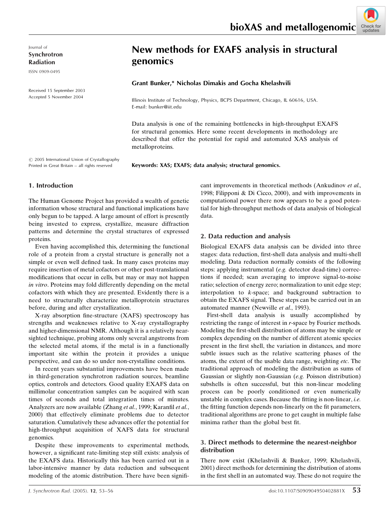Journal of Synchrotron Radiation

ISSN 0909-0495

Received 15 September 2003 Accepted 5 November 2004

# New methods for EXAFS analysis in structural genomics

#### Grant Bunker,\* Nicholas Dimakis and Gocha Khelashvili

Illinois Institute of Technology, Physics, BCPS Department, Chicago, IL 60616, USA. E-mail: bunker@iit.edu

Data analysis is one of the remaining bottlenecks in high-throughput EXAFS for structural genomics. Here some recent developments in methodology are described that offer the potential for rapid and automated XAS analysis of metalloproteins.

 $\odot$  2005 International Union of Crystallography Printed in Great Britain - all rights reserved

Keywords: XAS; EXAFS; data analysis; structural genomics.

#### 1. Introduction

The Human Genome Project has provided a wealth of genetic information whose structural and functional implications have only begun to be tapped. A large amount of effort is presently being invested to express, crystallize, measure diffraction patterns and determine the crystal structures of expressed proteins.

Even having accomplished this, determining the functional role of a protein from a crystal structure is generally not a simple or even well defined task. In many cases proteins may require insertion of metal cofactors or other post-translational modifications that occur in cells, but may or may not happen in vitro. Proteins may fold differently depending on the metal cofactors with which they are presented. Evidently there is a need to structurally characterize metalloprotein structures before, during and after crystallization.

X-ray absorption fine-structure (XAFS) spectroscopy has strengths and weaknesses relative to X-ray crystallography and higher-dimensional NMR. Although it is a relatively nearsighted technique, probing atoms only several angstroms from the selected metal atoms, if the metal is in a functionally important site within the protein it provides a unique perspective, and can do so under non-crystalline conditions.

In recent years substantial improvements have been made in third-generation synchrotron radiation sources, beamline optics, controls and detectors. Good quality EXAFS data on millimolar concentration samples can be acquired with scan times of seconds and total integration times of minutes. Analyzers are now available (Zhang et al., 1999; Karanfil et al., 2000) that effectively eliminate problems due to detector saturation. Cumulatively these advances offer the potential for high-throughput acquisition of XAFS data for structural genomics.

Despite these improvements to experimental methods, however, a significant rate-limiting step still exists: analysis of the EXAFS data. Historically this has been carried out in a labor-intensive manner by data reduction and subsequent modeling of the atomic distribution. There have been significant improvements in theoretical methods (Ankudinov et al., 1998; Filipponi & Di Cicco, 2000), and with improvements in computational power there now appears to be a good potential for high-throughput methods of data analysis of biological data.

#### 2. Data reduction and analysis

Biological EXAFS data analysis can be divided into three stages: data reduction, first-shell data analysis and multi-shell modeling. Data reduction normally consists of the following steps: applying instrumental (e.g. detector dead-time) corrections if needed; scan averaging to improve signal-to-noise ratio; selection of energy zero; normalization to unit edge step; interpolation to k-space; and background subtraction to obtain the EXAFS signal. These steps can be carried out in an automated manner (Newville et al., 1993).

First-shell data analysis is usually accomplished by restricting the range of interest in r-space by Fourier methods. Modeling the first-shell distribution of atoms may be simple or complex depending on the number of different atomic species present in the first shell, the variation in distances, and more subtle issues such as the relative scattering phases of the atoms, the extent of the usable data range, weighting etc. The traditional approach of modeling the distribution as sums of Gaussian or slightly non-Gaussian (e.g. Poisson distribution) subshells is often successful, but this non-linear modeling process can be poorly conditioned or even numerically unstable in complex cases. Because the fitting is non-linear, i.e. the fitting function depends non-linearly on the fit parameters, traditional algorithms are prone to get caught in multiple false minima rather than the global best fit.

### 3. Direct methods to determine the nearest-neighbor distribution

There now exist (Khelashvili & Bunker, 1999; Khelashvili, 2001) direct methods for determining the distribution of atoms in the first shell in an automated way. These do not require the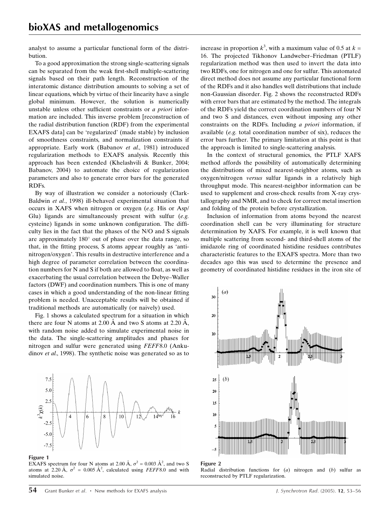analyst to assume a particular functional form of the distribution.

To a good approximation the strong single-scattering signals can be separated from the weak first-shell multiple-scattering signals based on their path length. Reconstruction of the interatomic distance distribution amounts to solving a set of linear equations, which by virtue of their linearity have a single global minimum. However, the solution is numerically unstable unless other sufficient constraints or a priori information are included. This inverse problem [reconstruction of the radial distribution function (RDF) from the experimental EXAFS data] can be `regularized' (made stable) by inclusion of smoothness constraints, and normalization constraints if appropriate. Early work (Babanov et al., 1981) introduced regularization methods to EXAFS analysis. Recently this approach has been extended (Khelashvili & Bunker, 2004; Babanov, 2004) to automate the choice of regularization parameters and also to generate error bars for the generated RDFs.

By way of illustration we consider a notoriously (Clark-Baldwin et al., 1998) ill-behaved experimental situation that occurs in XAFS when nitrogen or oxygen (e.g. His or Asp/ Glu) ligands are simultaneously present with sulfur  $(e.g.,)$ cysteine) ligands in some unknown configuration. The difficulty lies in the fact that the phases of the N/O and S signals are approximately  $180^{\circ}$  out of phase over the data range, so that, in the fitting process, S atoms appear roughly as 'antinitrogen/oxygen'. This results in destructive interference and a high degree of parameter correlation between the coordination numbers for  $N$  and  $S$  if both are allowed to float, as well as exacerbating the usual correlation between the Debye-Waller factors (DWF) and coordination numbers. This is one of many cases in which a good understanding of the non-linear fitting problem is needed. Unacceptable results will be obtained if traditional methods are automatically (or naively) used.

Fig. 1 shows a calculated spectrum for a situation in which there are four N atoms at 2.00  $\AA$  and two S atoms at 2.20  $\AA$ , with random noise added to simulate experimental noise in the data. The single-scattering amplitudes and phases for nitrogen and sulfur were generated using FEFF8.0 (Ankudinov et al., 1998). The synthetic noise was generated so as to



#### Figure 1

EXAFS spectrum for four N atoms at 2.00 Å,  $\sigma^2 = 0.003$  Å<sup>2</sup>, and two S atoms at 2.20 Å,  $\sigma^2 = 0.005 \text{ Å}^2$ , calculated using FEFF8.0 and with simulated noise.

increase in proportion  $k^3$ , with a maximum value of 0.5 at  $k =$ 16. The projected Tikhonov Landweber-Friedman (PTLF) regularization method was then used to invert the data into two RDFs, one for nitrogen and one for sulfur. This automated direct method does not assume any particular functional form of the RDFs and it also handles well distributions that include non-Gaussian disorder. Fig. 2 shows the reconstructed RDFs with error bars that are estimated by the method. The integrals of the RDFs yield the correct coordination numbers of four N and two S and distances, even without imposing any other constraints on the RDFs. Including a priori information, if available (e.g. total coordination number of six), reduces the error bars further. The primary limitation at this point is that the approach is limited to single-scattering analysis.

In the context of structural genomics, the PTLF XAFS method affords the possibility of automatically determining the distributions of mixed nearest-neighbor atoms, such as oxygen/nitrogen versus sulfur ligands in a relatively high throughput mode. This nearest-neighbor information can be used to supplement and cross-check results from X-ray crystallography and NMR, and to check for correct metal insertion and folding of the protein before crystallization.

Inclusion of information from atoms beyond the nearest coordination shell can be very illuminating for structure determination by XAFS. For example, it is well known that multiple scattering from second- and third-shell atoms of the imidazole ring of coordinated histidine residues contributes characteristic features to the EXAFS spectra. More than two decades ago this was used to determine the presence and geometry of coordinated histidine residues in the iron site of



#### Figure 2

Radial distribution functions for  $(a)$  nitrogen and  $(b)$  sulfur as reconstructed by PTLF regularization.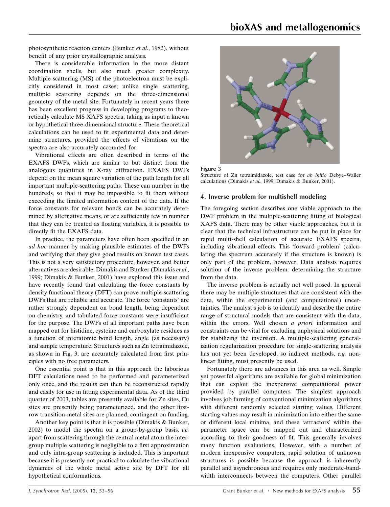photosynthetic reaction centers (Bunker et al., 1982), without benefit of any prior crystallographic analysis.

There is considerable information in the more distant coordination shells, but also much greater complexity. Multiple scattering (MS) of the photoelectron must be explicitly considered in most cases; unlike single scattering, multiple scattering depends on the three-dimensional geometry of the metal site. Fortunately in recent years there has been excellent progress in developing programs to theoretically calculate MS XAFS spectra, taking as input a known or hypothetical three-dimensional structure. These theoretical calculations can be used to fit experimental data and determine structures, provided the effects of vibrations on the spectra are also accurately accounted for.

Vibrational effects are often described in terms of the EXAFS DWFs, which are similar to but distinct from the analogous quantities in X-ray diffraction. EXAFS DWFs depend on the mean square variation of the path length for all important multiple-scattering paths. These can number in the hundreds, so that it may be impossible to fit them without exceeding the limited information content of the data. If the force constants for relevant bonds can be accurately determined by alternative means, or are sufficiently few in number that they can be treated as floating variables, it is possible to directly fit the EXAFS data.

In practice, the parameters have often been specified in an ad hoc manner by making plausible estimates of the DWFs and verifying that they give good results on known test cases. This is not a very satisfactory procedure, however, and better alternatives are desirable. Dimakis and Bunker (Dimakis et al., 1999; Dimakis & Bunker, 2001) have explored this issue and have recently found that calculating the force constants by density functional theory (DFT) can prove multiple-scattering DWFs that are reliable and accurate. The force `constants' are rather strongly dependent on bond length, being dependent on chemistry, and tabulated force constants were insufficient for the purpose. The DWFs of all important paths have been mapped out for histidine, cysteine and carboxylate residues as a function of interatomic bond length, angle (as necessary) and sample temperature. Structures such as Zn tetraimidazole, as shown in Fig. 3, are accurately calculated from first principles with no free parameters.

One essential point is that in this approach the laborious DFT calculations need to be performed and parameterized only once, and the results can then be reconstructed rapidly and easily for use in fitting experimental data. As of the third quarter of 2003, tables are presently available for Zn sites, Cu sites are presently being parameterized, and the other firstrow transition-metal sites are planned, contingent on funding.

Another key point is that it is possible (Dimakis & Bunker, 2002) to model the spectra on a group-by-group basis, i.e. apart from scattering through the central metal atom the intergroup multiple scattering is negligible to a first approximation and only intra-group scattering is included. This is important because it is presently not practical to calculate the vibrational dynamics of the whole metal active site by DFT for all hypothetical conformations.





Structure of Zn tetraimidazole, test case for ab initio Debye-Waller calculations (Dimakis et al., 1999; Dimakis & Bunker, 2001).

#### 4. Inverse problem for multishell modeling

The foregoing section describes one viable approach to the DWF problem in the multiple-scattering fitting of biological XAFS data. There may be other viable approaches, but it is clear that the technical infrastructure can be put in place for rapid multi-shell calculation of accurate EXAFS spectra, including vibrational effects. This 'forward problem' (calculating the spectrum accurately if the structure is known) is only part of the problem, however. Data analysis requires solution of the inverse problem: determining the structure from the data.

The inverse problem is actually not well posed. In general there may be multiple structures that are consistent with the data, within the experimental (and computational) uncertainties. The analyst's job is to identify and describe the entire range of structural models that are consistent with the data, within the errors. Well chosen a priori information and constraints can be vital for excluding unphysical solutions and for stabilizing the inversion. A multiple-scattering generalization regularization procedure for single-scattering analysis has not yet been developed, so indirect methods, e.g. nonlinear fitting, must presently be used.

Fortunately there are advances in this area as well. Simple yet powerful algorithms are available for global minimization that can exploit the inexpensive computational power provided by parallel computers. The simplest approach involves job farming of conventional minimization algorithms with different randomly selected starting values. Different starting values may result in minimization into either the same or different local minima, and these `attractors' within the parameter space can be mapped out and characterized according to their goodness of fit. This generally involves many function evaluations. However, with a number of modern inexpensive computers, rapid solution of unknown structures is possible because the approach is inherently parallel and asynchronous and requires only moderate-bandwidth interconnects between the computers. Other parallel